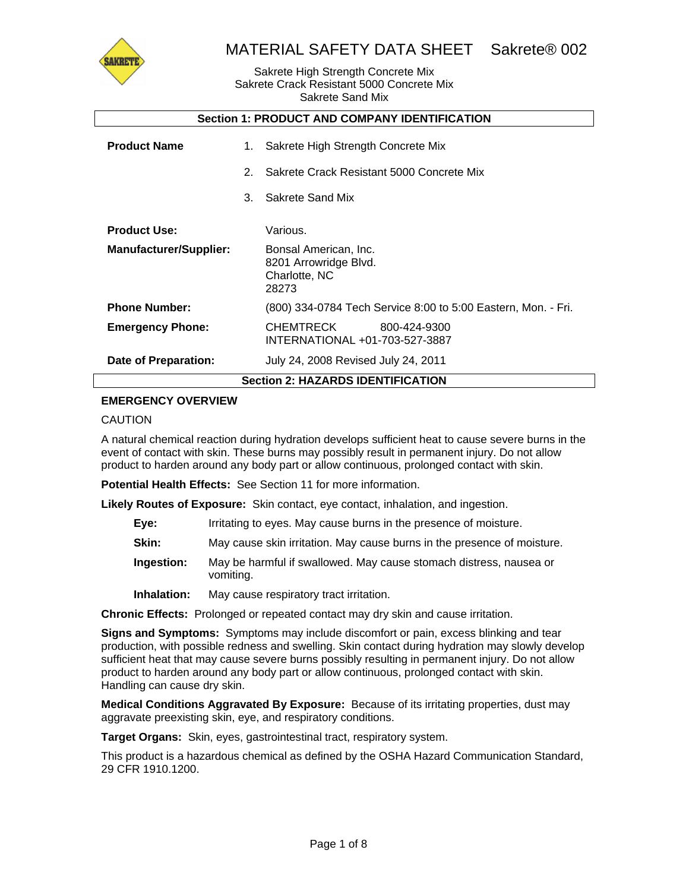

#### Sakrete High Strength Concrete Mix Sakrete Crack Resistant 5000 Concrete Mix Sakrete Sand Mix

| <b>Section 1: PRODUCT AND COMPANY IDENTIFICATION</b> |          |                                                                                      |  |
|------------------------------------------------------|----------|--------------------------------------------------------------------------------------|--|
| <b>Product Name</b>                                  | 1.<br>2. | Sakrete High Strength Concrete Mix<br>Sakrete Crack Resistant 5000 Concrete Mix      |  |
|                                                      | 3.       | Sakrete Sand Mix                                                                     |  |
| <b>Product Use:</b><br><b>Manufacturer/Supplier:</b> |          | Various.<br>Bonsal American, Inc.<br>8201 Arrowridge Blvd.<br>Charlotte, NC<br>28273 |  |
| <b>Phone Number:</b>                                 |          | (800) 334-0784 Tech Service 8:00 to 5:00 Eastern, Mon. - Fri.                        |  |
| <b>Emergency Phone:</b>                              |          | CHEMTRECK<br>800-424-9300<br>INTERNATIONAL +01-703-527-3887                          |  |
| Date of Preparation:                                 |          | July 24, 2008 Revised July 24, 2011                                                  |  |
| <b>Section 2: HAZARDS IDENTIFICATION</b>             |          |                                                                                      |  |

### **EMERGENCY OVERVIEW**

#### CAUTION

A natural chemical reaction during hydration develops sufficient heat to cause severe burns in the event of contact with skin. These burns may possibly result in permanent injury. Do not allow product to harden around any body part or allow continuous, prolonged contact with skin.

**Potential Health Effects:** See Section 11 for more information.

**Likely Routes of Exposure:** Skin contact, eye contact, inhalation, and ingestion.

- **Eye:** Irritating to eyes. May cause burns in the presence of moisture.
- **Skin:** May cause skin irritation. May cause burns in the presence of moisture.
- **Ingestion:** May be harmful if swallowed. May cause stomach distress, nausea or vomiting.
- **Inhalation:** May cause respiratory tract irritation.

**Chronic Effects:** Prolonged or repeated contact may dry skin and cause irritation.

**Signs and Symptoms:** Symptoms may include discomfort or pain, excess blinking and tear production, with possible redness and swelling. Skin contact during hydration may slowly develop sufficient heat that may cause severe burns possibly resulting in permanent injury. Do not allow product to harden around any body part or allow continuous, prolonged contact with skin. Handling can cause dry skin.

**Medical Conditions Aggravated By Exposure:** Because of its irritating properties, dust may aggravate preexisting skin, eye, and respiratory conditions.

**Target Organs:** Skin, eyes, gastrointestinal tract, respiratory system.

This product is a hazardous chemical as defined by the OSHA Hazard Communication Standard, 29 CFR 1910.1200.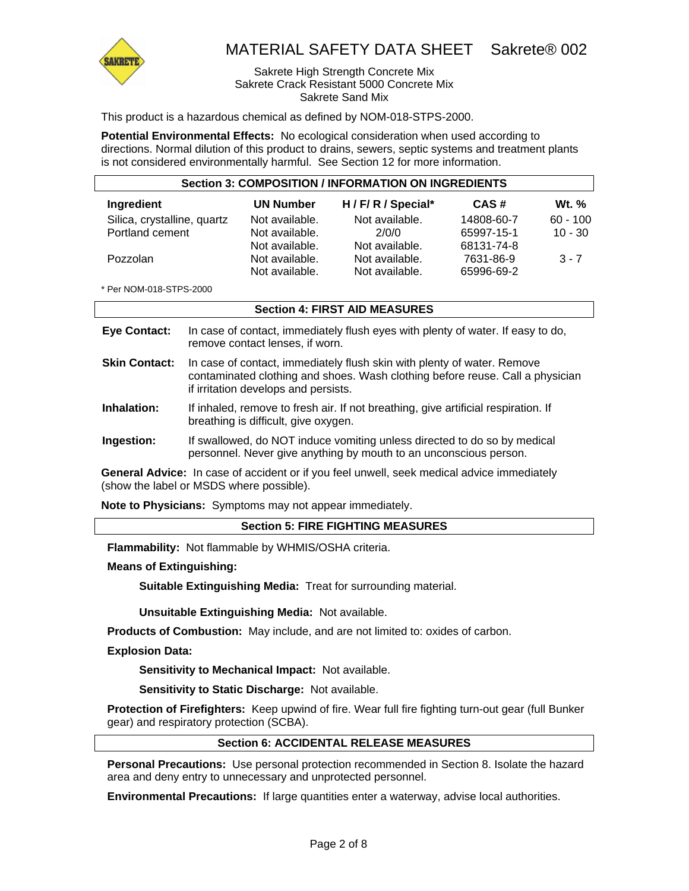

#### Sakrete High Strength Concrete Mix Sakrete Crack Resistant 5000 Concrete Mix Sakrete Sand Mix

This product is a hazardous chemical as defined by NOM-018-STPS-2000.

**Potential Environmental Effects:** No ecological consideration when used according to directions. Normal dilution of this product to drains, sewers, septic systems and treatment plants is not considered environmentally harmful. See Section 12 for more information.

| <b>Section 3: COMPOSITION / INFORMATION ON INGREDIENTS</b> |                  |                     |            |              |
|------------------------------------------------------------|------------------|---------------------|------------|--------------|
| Ingredient                                                 | <b>UN Number</b> | H / F/ R / Special* | CAS#       | <b>Wt.</b> % |
| Silica, crystalline, quartz                                | Not available.   | Not available.      | 14808-60-7 | $60 - 100$   |
| Portland cement                                            | Not available.   | 2/0/0               | 65997-15-1 | $10 - 30$    |
|                                                            | Not available.   | Not available.      | 68131-74-8 |              |
| Pozzolan                                                   | Not available.   | Not available.      | 7631-86-9  | $3 - 7$      |
|                                                            | Not available.   | Not available.      | 65996-69-2 |              |

\* Per NOM-018-STPS-2000

#### **Section 4: FIRST AID MEASURES**

| <b>Eye Contact:</b>  | In case of contact, immediately flush eyes with plenty of water. If easy to do,<br>remove contact lenses, if worn.                                                                               |
|----------------------|--------------------------------------------------------------------------------------------------------------------------------------------------------------------------------------------------|
| <b>Skin Contact:</b> | In case of contact, immediately flush skin with plenty of water. Remove<br>contaminated clothing and shoes. Wash clothing before reuse. Call a physician<br>if irritation develops and persists. |
| المستحلة والمتمارين  | If inhabeled proposed to frank air. If not broadbing a site antificial regulation. If                                                                                                            |

**Inhalation:** If inhaled, remove to fresh air. If not breathing, give artificial respiration. If breathing is difficult, give oxygen.

**Ingestion:** If swallowed, do NOT induce vomiting unless directed to do so by medical personnel. Never give anything by mouth to an unconscious person.

**General Advice:** In case of accident or if you feel unwell, seek medical advice immediately (show the label or MSDS where possible).

**Note to Physicians:** Symptoms may not appear immediately.

#### **Section 5: FIRE FIGHTING MEASURES**

**Flammability:** Not flammable by WHMIS/OSHA criteria.

**Means of Extinguishing:**

**Suitable Extinguishing Media:** Treat for surrounding material.

**Unsuitable Extinguishing Media:** Not available.

**Products of Combustion:** May include, and are not limited to: oxides of carbon.

**Explosion Data:**

**Sensitivity to Mechanical Impact:** Not available.

**Sensitivity to Static Discharge:** Not available.

**Protection of Firefighters:** Keep upwind of fire. Wear full fire fighting turn-out gear (full Bunker gear) and respiratory protection (SCBA).

#### **Section 6: ACCIDENTAL RELEASE MEASURES**

**Personal Precautions:** Use personal protection recommended in Section 8. Isolate the hazard area and deny entry to unnecessary and unprotected personnel.

**Environmental Precautions:** If large quantities enter a waterway, advise local authorities.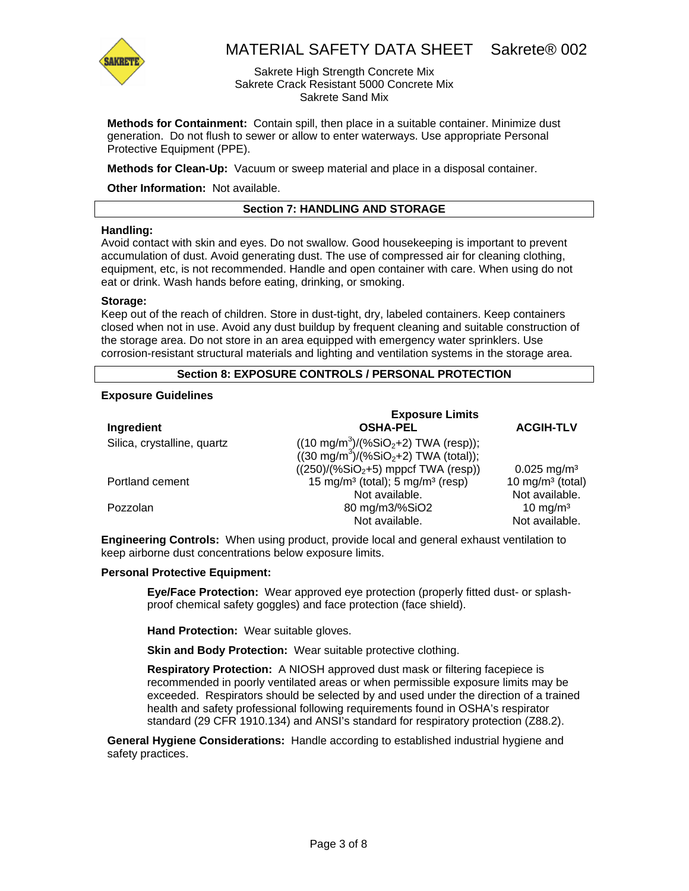

Sakrete High Strength Concrete Mix Sakrete Crack Resistant 5000 Concrete Mix Sakrete Sand Mix

**Methods for Containment:** Contain spill, then place in a suitable container. Minimize dust generation. Do not flush to sewer or allow to enter waterways. Use appropriate Personal Protective Equipment (PPE).

**Methods for Clean-Up:** Vacuum or sweep material and place in a disposal container.

**Other Information:** Not available.

#### **Section 7: HANDLING AND STORAGE**

#### **Handling:**

Avoid contact with skin and eyes. Do not swallow. Good housekeeping is important to prevent accumulation of dust. Avoid generating dust. The use of compressed air for cleaning clothing, equipment, etc, is not recommended. Handle and open container with care. When using do not eat or drink. Wash hands before eating, drinking, or smoking.

#### **Storage:**

Keep out of the reach of children. Store in dust-tight, dry, labeled containers. Keep containers closed when not in use. Avoid any dust buildup by frequent cleaning and suitable construction of the storage area. Do not store in an area equipped with emergency water sprinklers. Use corrosion-resistant structural materials and lighting and ventilation systems in the storage area.

### **Section 8: EXPOSURE CONTROLS / PERSONAL PROTECTION**

#### **Exposure Guidelines**

|                             | <b>Exposure Limits</b>                                                                                                        |                              |
|-----------------------------|-------------------------------------------------------------------------------------------------------------------------------|------------------------------|
| Ingredient                  | <b>OSHA-PEL</b>                                                                                                               | <b>ACGIH-TLV</b>             |
| Silica, crystalline, quartz | $((10 \text{ mg/m}^3)/(\% \text{SiO}_2 + 2) \text{ TWA}$ (resp));<br>$((30 \text{ mg/m}^3)/(96 \text{SiO}_2+2)$ TWA (total)); |                              |
|                             | $((250)/(%SiO2+5)$ mppcf TWA (resp))                                                                                          | $0.025$ mg/m <sup>3</sup>    |
| Portland cement             | 15 mg/m <sup>3</sup> (total); 5 mg/m <sup>3</sup> (resp)                                                                      | 10 mg/m <sup>3</sup> (total) |
|                             | Not available.                                                                                                                | Not available.               |
| Pozzolan                    | 80 mg/m3/%SiO2                                                                                                                | 10 mg/m <sup>3</sup>         |
|                             | Not available.                                                                                                                | Not available.               |

**Engineering Controls:** When using product, provide local and general exhaust ventilation to keep airborne dust concentrations below exposure limits.

#### **Personal Protective Equipment:**

**Eye/Face Protection:** Wear approved eye protection (properly fitted dust- or splashproof chemical safety goggles) and face protection (face shield).

**Hand Protection:** Wear suitable gloves.

**Skin and Body Protection:** Wear suitable protective clothing.

**Respiratory Protection:** A NIOSH approved dust mask or filtering facepiece is recommended in poorly ventilated areas or when permissible exposure limits may be exceeded. Respirators should be selected by and used under the direction of a trained health and safety professional following requirements found in OSHA's respirator standard (29 CFR 1910.134) and ANSI's standard for respiratory protection (Z88.2).

**General Hygiene Considerations:** Handle according to established industrial hygiene and safety practices.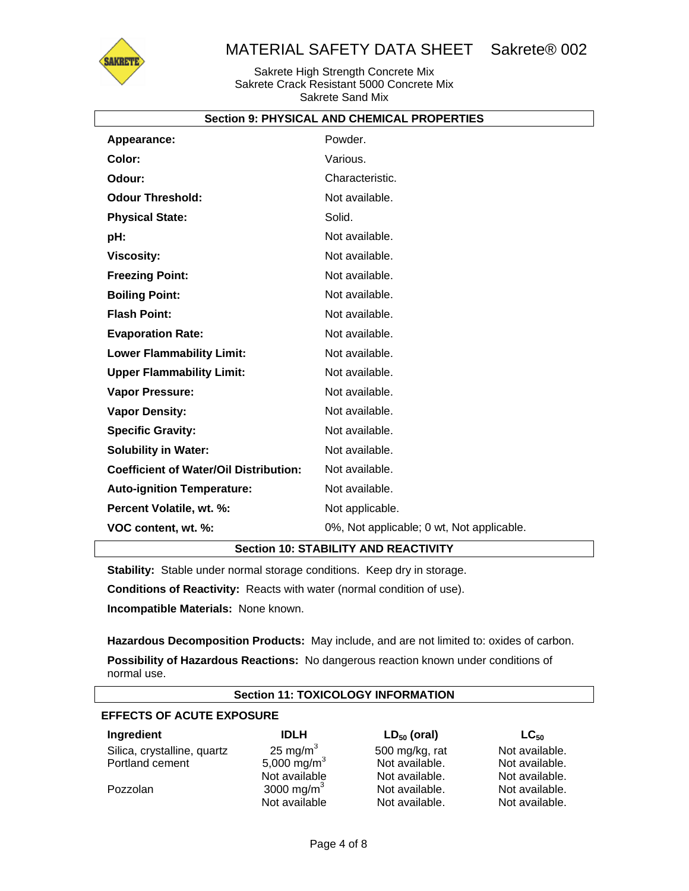

Sakrete High Strength Concrete Mix Sakrete Crack Resistant 5000 Concrete Mix Sakrete Sand Mix

|                                               | <b>Section 9: PHYSICAL AND CHEMICAL PROPERTIES</b> |
|-----------------------------------------------|----------------------------------------------------|
| Appearance:                                   | Powder.                                            |
| Color:                                        | Various.                                           |
| Odour:                                        | Characteristic.                                    |
| <b>Odour Threshold:</b>                       | Not available.                                     |
| <b>Physical State:</b>                        | Solid.                                             |
| pH:                                           | Not available.                                     |
| <b>Viscosity:</b>                             | Not available.                                     |
| <b>Freezing Point:</b>                        | Not available.                                     |
| <b>Boiling Point:</b>                         | Not available.                                     |
| <b>Flash Point:</b>                           | Not available.                                     |
| <b>Evaporation Rate:</b>                      | Not available.                                     |
| <b>Lower Flammability Limit:</b>              | Not available.                                     |
| <b>Upper Flammability Limit:</b>              | Not available.                                     |
| Vapor Pressure:                               | Not available.                                     |
| <b>Vapor Density:</b>                         | Not available.                                     |
| <b>Specific Gravity:</b>                      | Not available.                                     |
| <b>Solubility in Water:</b>                   | Not available.                                     |
| <b>Coefficient of Water/Oil Distribution:</b> | Not available.                                     |
| <b>Auto-ignition Temperature:</b>             | Not available.                                     |
| Percent Volatile, wt. %:                      | Not applicable.                                    |
| VOC content, wt. %:                           | 0%, Not applicable; 0 wt, Not applicable.          |

## **Section 10: STABILITY AND REACTIVITY**

**Stability:** Stable under normal storage conditions. Keep dry in storage.

**Conditions of Reactivity:** Reacts with water (normal condition of use).

**Incompatible Materials:** None known.

**Hazardous Decomposition Products:** May include, and are not limited to: oxides of carbon. **Possibility of Hazardous Reactions:** No dangerous reaction known under conditions of normal use.

| <b>Section 11: TOXICOLOGY INFORMATION</b> |                         |                  |                |
|-------------------------------------------|-------------------------|------------------|----------------|
| <b>EFFECTS OF ACUTE EXPOSURE</b>          |                         |                  |                |
| Ingredient                                | <b>IDLH</b>             | $LD_{50}$ (oral) | $LG_{50}$      |
| Silica, crystalline, quartz               | 25 mg/m $3$             | 500 mg/kg, rat   | Not available. |
| Portland cement                           | 5,000 mg/m <sup>3</sup> | Not available.   | Not available. |
|                                           | Not available           | Not available.   | Not available. |

Pozzolan

3000 mg/ $m<sup>3</sup>$ Not available Not available. Not available.

Not available. Not available.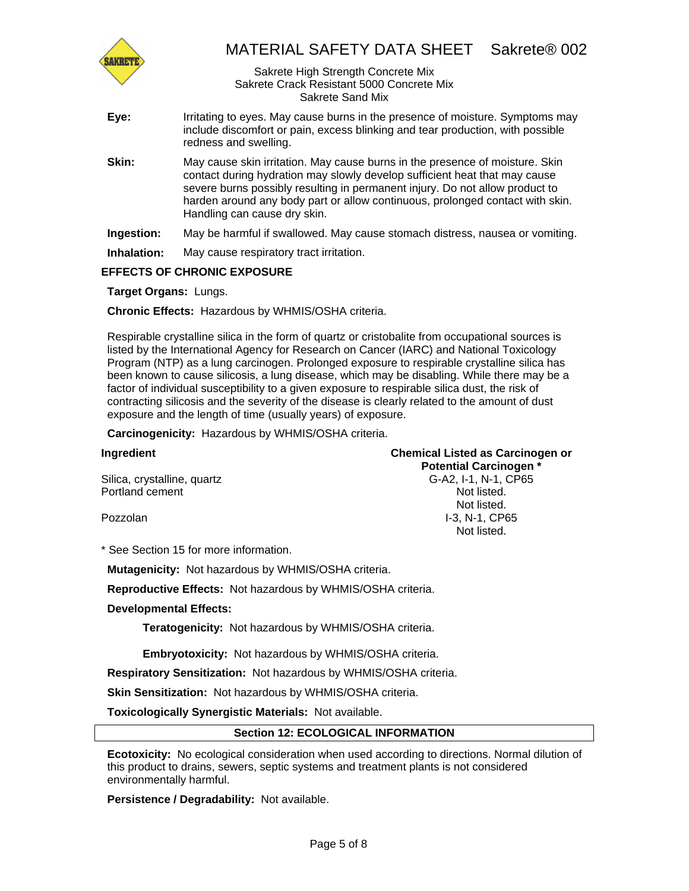

#### Sakrete High Strength Concrete Mix Sakrete Crack Resistant 5000 Concrete Mix Sakrete Sand Mix

- **Eye:** Irritating to eyes. May cause burns in the presence of moisture. Symptoms may include discomfort or pain, excess blinking and tear production, with possible redness and swelling.
- **Skin:** May cause skin irritation. May cause burns in the presence of moisture. Skin contact during hydration may slowly develop sufficient heat that may cause severe burns possibly resulting in permanent injury. Do not allow product to harden around any body part or allow continuous, prolonged contact with skin. Handling can cause dry skin.
- **Ingestion:** May be harmful if swallowed. May cause stomach distress, nausea or vomiting.
- **Inhalation:** May cause respiratory tract irritation.

## **EFFECTS OF CHRONIC EXPOSURE**

**Target Organs:** Lungs.

**Chronic Effects:** Hazardous by WHMIS/OSHA criteria.

Respirable crystalline silica in the form of quartz or cristobalite from occupational sources is listed by the International Agency for Research on Cancer (IARC) and National Toxicology Program (NTP) as a lung carcinogen. Prolonged exposure to respirable crystalline silica has been known to cause silicosis, a lung disease, which may be disabling. While there may be a factor of individual susceptibility to a given exposure to respirable silica dust, the risk of contracting silicosis and the severity of the disease is clearly related to the amount of dust exposure and the length of time (usually years) of exposure.

**Carcinogenicity:** Hazardous by WHMIS/OSHA criteria.

## **Ingredient Chemical Listed as Carcinogen or Potential Carcinogen \***

Silica, crystalline, quartz G-A2, I-1, N-1, CP65 Portland cement Not listed.

Pozzolan

Not listed. I-3, N-1, CP65 Not listed.

\* See Section 15 for more information.

**Mutagenicity:** Not hazardous by WHMIS/OSHA criteria.

**Reproductive Effects:** Not hazardous by WHMIS/OSHA criteria.

#### **Developmental Effects:**

**Teratogenicity:** Not hazardous by WHMIS/OSHA criteria.

**Embryotoxicity:** Not hazardous by WHMIS/OSHA criteria.

**Respiratory Sensitization:** Not hazardous by WHMIS/OSHA criteria.

**Skin Sensitization:** Not hazardous by WHMIS/OSHA criteria.

**Toxicologically Synergistic Materials:** Not available.

#### **Section 12: ECOLOGICAL INFORMATION**

**Ecotoxicity:** No ecological consideration when used according to directions. Normal dilution of this product to drains, sewers, septic systems and treatment plants is not considered environmentally harmful.

**Persistence / Degradability:** Not available.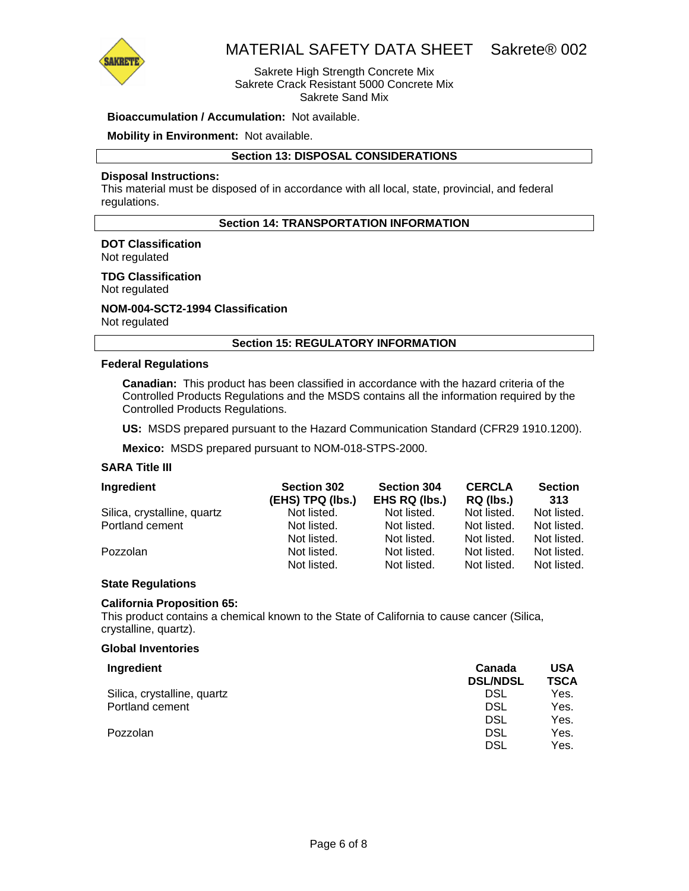

Sakrete High Strength Concrete Mix Sakrete Crack Resistant 5000 Concrete Mix Sakrete Sand Mix

#### **Bioaccumulation / Accumulation:** Not available.

#### **Mobility in Environment:** Not available.

#### **Section 13: DISPOSAL CONSIDERATIONS**

#### **Disposal Instructions:**

This material must be disposed of in accordance with all local, state, provincial, and federal regulations.

## **Section 14: TRANSPORTATION INFORMATION**

## **DOT Classification**

Not regulated

## **TDG Classification**

Not regulated

#### **NOM-004-SCT2-1994 Classification**  Not regulated

#### **Section 15: REGULATORY INFORMATION**

#### **Federal Regulations**

**Canadian:** This product has been classified in accordance with the hazard criteria of the Controlled Products Regulations and the MSDS contains all the information required by the Controlled Products Regulations.

**US:** MSDS prepared pursuant to the Hazard Communication Standard (CFR29 1910.1200).

**Mexico:** MSDS prepared pursuant to NOM-018-STPS-2000.

#### **SARA Title III**

| Ingredient                  | <b>Section 302</b><br>(EHS) TPQ (lbs.) | <b>Section 304</b><br>EHS RQ (lbs.) | <b>CERCLA</b><br>RQ (lbs.) | <b>Section</b><br>313 |
|-----------------------------|----------------------------------------|-------------------------------------|----------------------------|-----------------------|
| Silica, crystalline, quartz | Not listed.                            | Not listed.                         | Not listed.                | Not listed.           |
| Portland cement             | Not listed.                            | Not listed.                         | Not listed.                | Not listed.           |
|                             | Not listed.                            | Not listed.                         | Not listed.                | Not listed.           |
| Pozzolan                    | Not listed.                            | Not listed.                         | Not listed.                | Not listed.           |
|                             | Not listed.                            | Not listed.                         | Not listed.                | Not listed.           |

#### **State Regulations**

#### **California Proposition 65:**

This product contains a chemical known to the State of California to cause cancer (Silica, crystalline, quartz).

#### **Global Inventories**

| Ingredient                  | Canada<br><b>DSL/NDSL</b> | USA<br><b>TSCA</b> |
|-----------------------------|---------------------------|--------------------|
| Silica, crystalline, quartz | <b>DSL</b>                | Yes.               |
| Portland cement             | DSL                       | Yes.               |
|                             | DSL                       | Yes.               |
| Pozzolan                    | <b>DSL</b>                | Yes.               |
|                             | DSL                       | Yes.               |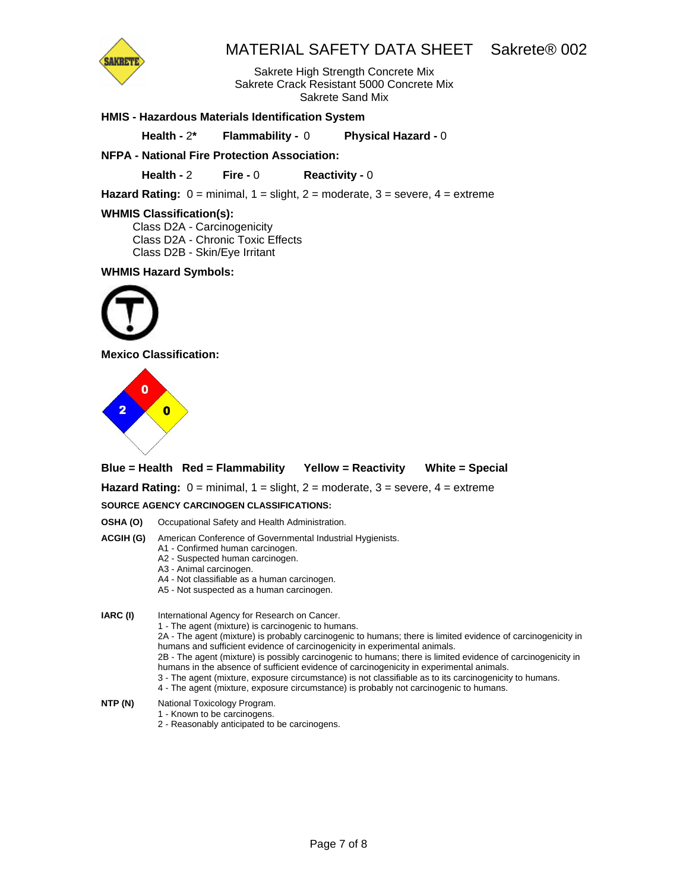

Sakrete High Strength Concrete Mix Sakrete Crack Resistant 5000 Concrete Mix Sakrete Sand Mix

### **HMIS - Hazardous Materials Identification System**

**Health -** 2**\* Flammability -** 0 **Physical Hazard -** 0

## **NFPA - National Fire Protection Association:**

**Health -** 2 **Fire -** 0 **Reactivity -** 0

**Hazard Rating:**  $0 = \text{minimal}$ ,  $1 = \text{slight}$ ,  $2 = \text{moderate}$ ,  $3 = \text{severe}$ ,  $4 = \text{extreme}$ 

#### **WHMIS Classification(s):**

Class D2A - Carcinogenicity Class D2A - Chronic Toxic Effects Class D2B - Skin/Eye Irritant

#### **WHMIS Hazard Symbols:**



**Mexico Classification:** 



**Blue = Health Red = Flammability Yellow = Reactivity White = Special** 

**Hazard Rating:** 0 = minimal, 1 = slight, 2 = moderate, 3 = severe, 4 = extreme

#### **SOURCE AGENCY CARCINOGEN CLASSIFICATIONS:**

**OSHA (O)** Occupational Safety and Health Administration.

- **ACGIH (G)** American Conference of Governmental Industrial Hygienists.
	- A1 Confirmed human carcinogen.
	- A2 Suspected human carcinogen.
	- A3 Animal carcinogen.
	- A4 Not classifiable as a human carcinogen.
	- A5 Not suspected as a human carcinogen.

**IARC (I)** International Agency for Research on Cancer. 1 - The agent (mixture) is carcinogenic to humans.

2A - The agent (mixture) is probably carcinogenic to humans; there is limited evidence of carcinogenicity in humans and sufficient evidence of carcinogenicity in experimental animals.

2B - The agent (mixture) is possibly carcinogenic to humans; there is limited evidence of carcinogenicity in humans in the absence of sufficient evidence of carcinogenicity in experimental animals.

- 3 The agent (mixture, exposure circumstance) is not classifiable as to its carcinogenicity to humans.
- 4 The agent (mixture, exposure circumstance) is probably not carcinogenic to humans.
- **NTP (N)** National Toxicology Program.
	- 1 Known to be carcinogens.
		- 2 Reasonably anticipated to be carcinogens.